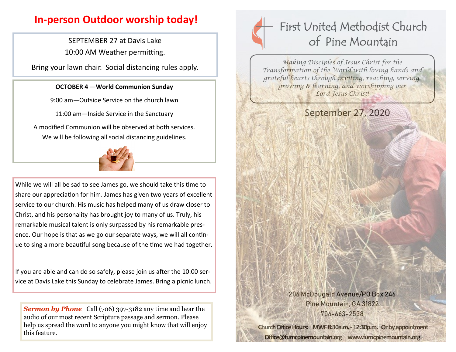## **In-person Outdoor worship today!**

SEPTEMBER 27 at Davis Lake 10:00 AM Weather permitting.

Bring your lawn chair. Social distancing rules apply.

## **OCTOBER 4** —**World Communion Sunday**

9:00 am—Outside Service on the church lawn

11:00 am—Inside Service in the Sanctuary

A modified Communion will be observed at both services. We will be following all social distancing guidelines.



While we will all be sad to see James go, we should take this time to share our appreciation for him. James has given two years of excellent service to our church. His music has helped many of us draw closer to Christ, and his personality has brought joy to many of us. Truly, his remarkable musical talent is only surpassed by his remarkable presence. Our hope is that as we go our separate ways, we will all continue to sing a more beautiful song because of the time we had together.

If you are able and can do so safely, please join us after the 10:00 service at Davis Lake this Sunday to celebrate James. Bring a picnic lunch.

**Sermon by Phone** Call (706) 397-3182 any time and hear the audio of our most recent Scripture passage and sermon. Please help us spread the word to anyone you might know that will enjoy this feature.

## First United Methodist Church of Pine Mountain

*Making Disciples of Jesus Christ for the Transformation of the World with loving hands and grateful hearts through inviting, reaching, serving, growing & learning, and worshipping our Lord Jesus Christ!* 

## September 27, 2020

206 McDougald Avenue/PO Box 246 Pine Mountain, GA 31822 706-663-2538

**Church Office Hours: MWF 8:30a.m. -12:30p.m. Or by appointment Office@fumcpinemountain.org www.fumcpinemountain.org**